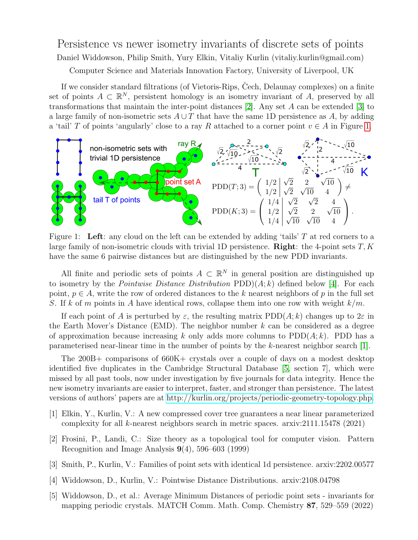## Persistence vs newer isometry invariants of discrete sets of points Daniel Widdowson, Philip Smith, Yury Elkin, Vitaliy Kurlin (vitaliy.kurlin@gmail.com) Computer Science and Materials Innovation Factory, University of Liverpool, UK

If we consider standard filtrations (of Vietoris-Rips, Čech, Delaunay complexes) on a finite set of points  $A \subset \mathbb{R}^N$ , persistent homology is an isometry invariant of A, preserved by all transformations that maintain the inter-point distances [\[2\]](#page-0-0). Any set A can be extended [\[3\]](#page-0-1) to a large family of non-isometric sets  $A \cup T$  that have the same 1D persistence as A, by adding a 'tail' T of points 'angularly' close to a ray R attached to a corner point  $v \in A$  in Figure [1.](#page-0-2)



<span id="page-0-2"></span>Figure 1: Left: any cloud on the left can be extended by adding 'tails'  $T$  at red corners to a large family of non-isometric clouds with trivial 1D persistence. **Right**: the 4-point sets  $T, K$ have the same 6 pairwise distances but are distinguished by the new PDD invariants.

All finite and periodic sets of points  $A \subset \mathbb{R}^N$  in general position are distinguished up to isometry by the *Pointwise Distance Distribution*  $PDD(A; k)$  defined below [\[4\]](#page-0-3). For each point,  $p \in A$ , write the row of ordered distances to the k nearest neighbors of p in the full set S. If k of m points in A have identical rows, collapse them into one row with weight  $k/m$ .

If each point of A is perturbed by  $\varepsilon$ , the resulting matrix PDD(A; k) changes up to  $2\varepsilon$  in the Earth Mover's Distance (EMD). The neighbor number  $k$  can be considered as a degree of approximation because increasing k only adds more columns to  $PDD(A; k)$ . PDD has a parameterised near-linear time in the number of points by the k-nearest neighbor search [\[1\]](#page-0-4).

The 200B+ comparisons of 660K+ crystals over a couple of days on a modest desktop identified five duplicates in the Cambridge Structural Database [\[5,](#page-0-5) section 7], which were missed by all past tools, now under investigation by five journals for data integrity. Hence the new isometry invariants are easier to interpret, faster, and stronger than persistence. The latest versions of authors' papers are at [http://kurlin.org/projects/periodic-geometry-topology.php.](http://kurlin.org/projects/periodic-geometry-topology.php)

- <span id="page-0-4"></span>[1] Elkin, Y., Kurlin, V.: A new compressed cover tree guarantees a near linear parameterized complexity for all k-nearest neighbors search in metric spaces. arxiv:2111.15478 (2021)
- <span id="page-0-0"></span>[2] Frosini, P., Landi, C.: Size theory as a topological tool for computer vision. Pattern Recognition and Image Analysis 9(4), 596–603 (1999)
- <span id="page-0-1"></span>[3] Smith, P., Kurlin, V.: Families of point sets with identical 1d persistence. arxiv:2202.00577
- <span id="page-0-3"></span>[4] Widdowson, D., Kurlin, V.: Pointwise Distance Distributions. arxiv:2108.04798
- <span id="page-0-5"></span>[5] Widdowson, D., et al.: Average Minimum Distances of periodic point sets - invariants for mapping periodic crystals. MATCH Comm. Math. Comp. Chemistry 87, 529–559 (2022)